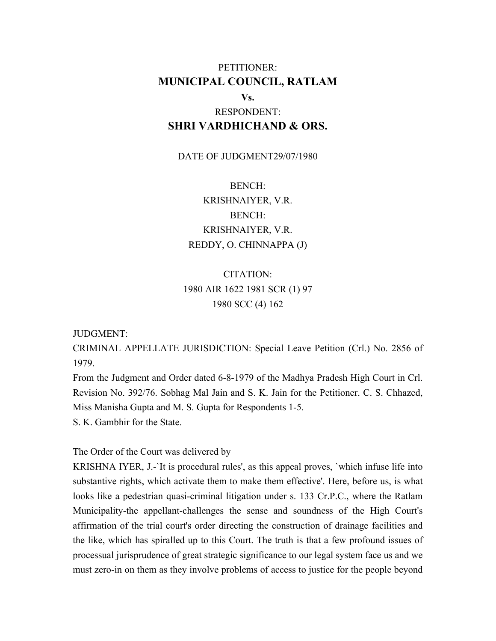## PETITIONER: **MUNICIPAL COUNCIL, RATLAM Vs.**

# RESPONDENT: **SHRI VARDHICHAND & ORS.**

#### DATE OF JUDGMENT29/07/1980

BENCH: KRISHNAIYER, V.R. BENCH: KRISHNAIYER, V.R. REDDY, O. CHINNAPPA (J)

# CITATION: 1980 AIR 1622 1981 SCR (1) 97 1980 SCC (4) 162

#### JUDGMENT:

CRIMINAL APPELLATE JURISDICTION: Special Leave Petition (Crl.) No. 2856 of 1979.

From the Judgment and Order dated 6-8-1979 of the Madhya Pradesh High Court in Crl. Revision No. 392/76. Sobhag Mal Jain and S. K. Jain for the Petitioner. C. S. Chhazed, Miss Manisha Gupta and M. S. Gupta for Respondents 1-5.

S. K. Gambhir for the State.

The Order of the Court was delivered by

KRISHNA IYER, J.-`It is procedural rules', as this appeal proves, `which infuse life into substantive rights, which activate them to make them effective'. Here, before us, is what looks like a pedestrian quasi-criminal litigation under s. 133 Cr.P.C., where the Ratlam Municipality-the appellant-challenges the sense and soundness of the High Court's affirmation of the trial court's order directing the construction of drainage facilities and the like, which has spiralled up to this Court. The truth is that a few profound issues of processual jurisprudence of great strategic significance to our legal system face us and we must zero-in on them as they involve problems of access to justice for the people beyond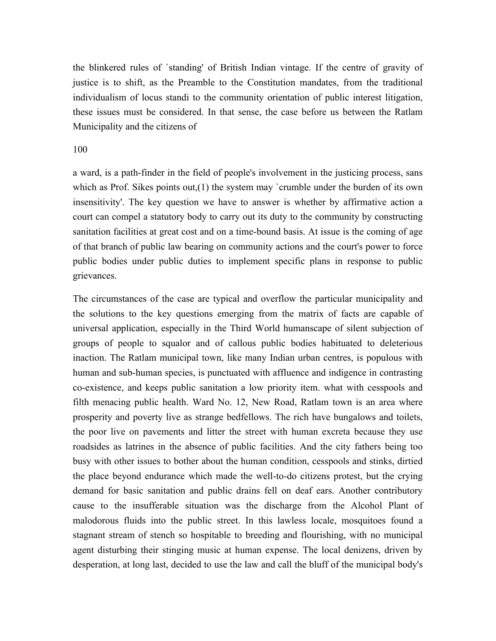the blinkered rules of `standing' of British Indian vintage. If the centre of gravity of justice is to shift, as the Preamble to the Constitution mandates, from the traditional individualism of locus standi to the community orientation of public interest litigation, these issues must be considered. In that sense, the case before us between the Ratlam Municipality and the citizens of

#### 100

a ward, is a path-finder in the field of people's involvement in the justicing process, sans which as Prof. Sikes points out, (1) the system may `crumble under the burden of its own insensitivity'. The key question we have to answer is whether by affirmative action a court can compel a statutory body to carry out its duty to the community by constructing sanitation facilities at great cost and on a time-bound basis. At issue is the coming of age of that branch of public law bearing on community actions and the court's power to force public bodies under public duties to implement specific plans in response to public grievances.

The circumstances of the case are typical and overflow the particular municipality and the solutions to the key questions emerging from the matrix of facts are capable of universal application, especially in the Third World humanscape of silent subjection of groups of people to squalor and of callous public bodies habituated to deleterious inaction. The Ratlam municipal town, like many Indian urban centres, is populous with human and sub-human species, is punctuated with affluence and indigence in contrasting co-existence, and keeps public sanitation a low priority item. what with cesspools and filth menacing public health. Ward No. 12, New Road, Ratlam town is an area where prosperity and poverty live as strange bedfellows. The rich have bungalows and toilets, the poor live on pavements and litter the street with human excreta because they use roadsides as latrines in the absence of public facilities. And the city fathers being too busy with other issues to bother about the human condition, cesspools and stinks, dirtied the place beyond endurance which made the well-to-do citizens protest, but the crying demand for basic sanitation and public drains fell on deaf ears. Another contributory cause to the insufferable situation was the discharge from the Alcohol Plant of malodorous fluids into the public street. In this lawless locale, mosquitoes found a stagnant stream of stench so hospitable to breeding and flourishing, with no municipal agent disturbing their stinging music at human expense. The local denizens, driven by desperation, at long last, decided to use the law and call the bluff of the municipal body's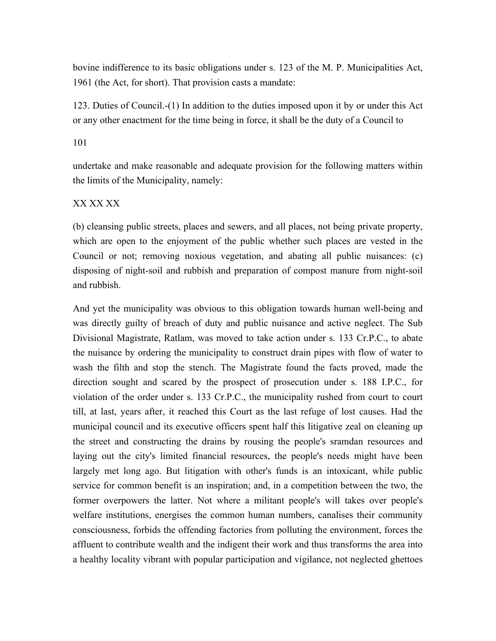bovine indifference to its basic obligations under s. 123 of the M. P. Municipalities Act, 1961 (the Act, for short). That provision casts a mandate:

123. Duties of Council.-(1) In addition to the duties imposed upon it by or under this Act or any other enactment for the time being in force, it shall be the duty of a Council to

#### 101

undertake and make reasonable and adequate provision for the following matters within the limits of the Municipality, namely:

#### XX XX XX

(b) cleansing public streets, places and sewers, and all places, not being private property, which are open to the enjoyment of the public whether such places are vested in the Council or not; removing noxious vegetation, and abating all public nuisances: (c) disposing of night-soil and rubbish and preparation of compost manure from night-soil and rubbish.

And yet the municipality was obvious to this obligation towards human well-being and was directly guilty of breach of duty and public nuisance and active neglect. The Sub Divisional Magistrate, Ratlam, was moved to take action under s. 133 Cr.P.C., to abate the nuisance by ordering the municipality to construct drain pipes with flow of water to wash the filth and stop the stench. The Magistrate found the facts proved, made the direction sought and scared by the prospect of prosecution under s. 188 I.P.C., for violation of the order under s. 133 Cr.P.C., the municipality rushed from court to court till, at last, years after, it reached this Court as the last refuge of lost causes. Had the municipal council and its executive officers spent half this litigative zeal on cleaning up the street and constructing the drains by rousing the people's sramdan resources and laying out the city's limited financial resources, the people's needs might have been largely met long ago. But litigation with other's funds is an intoxicant, while public service for common benefit is an inspiration; and, in a competition between the two, the former overpowers the latter. Not where a militant people's will takes over people's welfare institutions, energises the common human numbers, canalises their community consciousness, forbids the offending factories from polluting the environment, forces the affluent to contribute wealth and the indigent their work and thus transforms the area into a healthy locality vibrant with popular participation and vigilance, not neglected ghettoes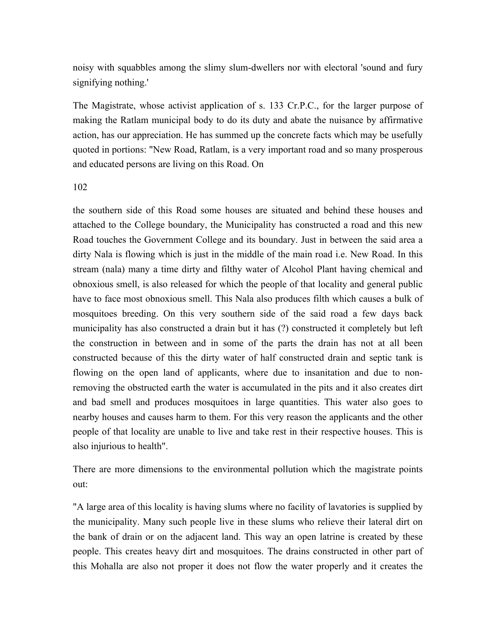noisy with squabbles among the slimy slum-dwellers nor with electoral 'sound and fury signifying nothing.'

The Magistrate, whose activist application of s. 133 Cr.P.C., for the larger purpose of making the Ratlam municipal body to do its duty and abate the nuisance by affirmative action, has our appreciation. He has summed up the concrete facts which may be usefully quoted in portions: "New Road, Ratlam, is a very important road and so many prosperous and educated persons are living on this Road. On

102

the southern side of this Road some houses are situated and behind these houses and attached to the College boundary, the Municipality has constructed a road and this new Road touches the Government College and its boundary. Just in between the said area a dirty Nala is flowing which is just in the middle of the main road i.e. New Road. In this stream (nala) many a time dirty and filthy water of Alcohol Plant having chemical and obnoxious smell, is also released for which the people of that locality and general public have to face most obnoxious smell. This Nala also produces filth which causes a bulk of mosquitoes breeding. On this very southern side of the said road a few days back municipality has also constructed a drain but it has (?) constructed it completely but left the construction in between and in some of the parts the drain has not at all been constructed because of this the dirty water of half constructed drain and septic tank is flowing on the open land of applicants, where due to insanitation and due to nonremoving the obstructed earth the water is accumulated in the pits and it also creates dirt and bad smell and produces mosquitoes in large quantities. This water also goes to nearby houses and causes harm to them. For this very reason the applicants and the other people of that locality are unable to live and take rest in their respective houses. This is also injurious to health".

There are more dimensions to the environmental pollution which the magistrate points out:

"A large area of this locality is having slums where no facility of lavatories is supplied by the municipality. Many such people live in these slums who relieve their lateral dirt on the bank of drain or on the adjacent land. This way an open latrine is created by these people. This creates heavy dirt and mosquitoes. The drains constructed in other part of this Mohalla are also not proper it does not flow the water properly and it creates the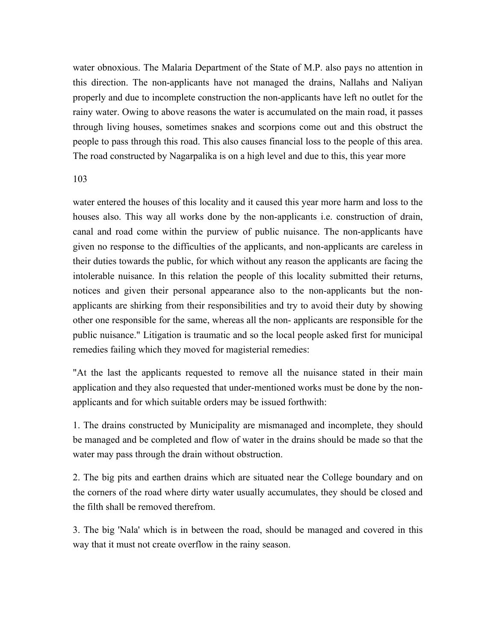water obnoxious. The Malaria Department of the State of M.P. also pays no attention in this direction. The non-applicants have not managed the drains, Nallahs and Naliyan properly and due to incomplete construction the non-applicants have left no outlet for the rainy water. Owing to above reasons the water is accumulated on the main road, it passes through living houses, sometimes snakes and scorpions come out and this obstruct the people to pass through this road. This also causes financial loss to the people of this area. The road constructed by Nagarpalika is on a high level and due to this, this year more

#### 103

water entered the houses of this locality and it caused this year more harm and loss to the houses also. This way all works done by the non-applicants i.e. construction of drain, canal and road come within the purview of public nuisance. The non-applicants have given no response to the difficulties of the applicants, and non-applicants are careless in their duties towards the public, for which without any reason the applicants are facing the intolerable nuisance. In this relation the people of this locality submitted their returns, notices and given their personal appearance also to the non-applicants but the nonapplicants are shirking from their responsibilities and try to avoid their duty by showing other one responsible for the same, whereas all the non- applicants are responsible for the public nuisance." Litigation is traumatic and so the local people asked first for municipal remedies failing which they moved for magisterial remedies:

"At the last the applicants requested to remove all the nuisance stated in their main application and they also requested that under-mentioned works must be done by the nonapplicants and for which suitable orders may be issued forthwith:

1. The drains constructed by Municipality are mismanaged and incomplete, they should be managed and be completed and flow of water in the drains should be made so that the water may pass through the drain without obstruction.

2. The big pits and earthen drains which are situated near the College boundary and on the corners of the road where dirty water usually accumulates, they should be closed and the filth shall be removed therefrom.

3. The big 'Nala' which is in between the road, should be managed and covered in this way that it must not create overflow in the rainy season.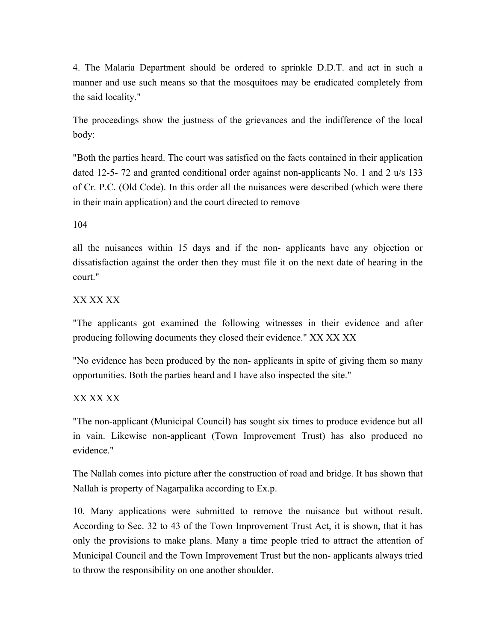4. The Malaria Department should be ordered to sprinkle D.D.T. and act in such a manner and use such means so that the mosquitoes may be eradicated completely from the said locality."

The proceedings show the justness of the grievances and the indifference of the local body:

"Both the parties heard. The court was satisfied on the facts contained in their application dated 12-5- 72 and granted conditional order against non-applicants No. 1 and 2 u/s 133 of Cr. P.C. (Old Code). In this order all the nuisances were described (which were there in their main application) and the court directed to remove

104

all the nuisances within 15 days and if the non- applicants have any objection or dissatisfaction against the order then they must file it on the next date of hearing in the court."

### XX XX XX

"The applicants got examined the following witnesses in their evidence and after producing following documents they closed their evidence." XX XX XX

"No evidence has been produced by the non- applicants in spite of giving them so many opportunities. Both the parties heard and I have also inspected the site."

### XX XX XX

"The non-applicant (Municipal Council) has sought six times to produce evidence but all in vain. Likewise non-applicant (Town Improvement Trust) has also produced no evidence."

The Nallah comes into picture after the construction of road and bridge. It has shown that Nallah is property of Nagarpalika according to Ex.p.

10. Many applications were submitted to remove the nuisance but without result. According to Sec. 32 to 43 of the Town Improvement Trust Act, it is shown, that it has only the provisions to make plans. Many a time people tried to attract the attention of Municipal Council and the Town Improvement Trust but the non- applicants always tried to throw the responsibility on one another shoulder.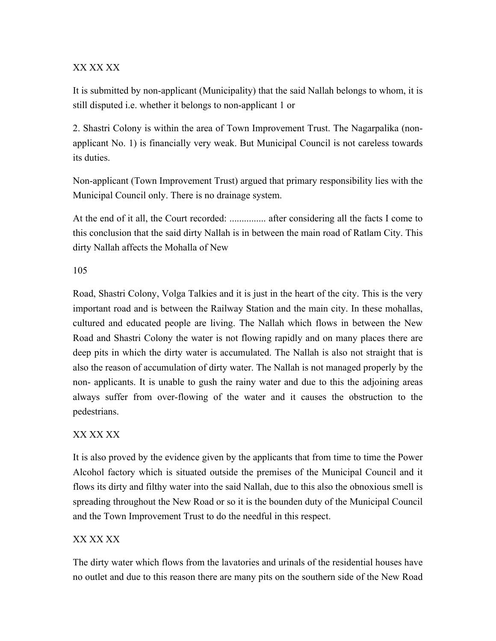### XX XX XX

It is submitted by non-applicant (Municipality) that the said Nallah belongs to whom, it is still disputed i.e. whether it belongs to non-applicant 1 or

2. Shastri Colony is within the area of Town Improvement Trust. The Nagarpalika (nonapplicant No. 1) is financially very weak. But Municipal Council is not careless towards its duties.

Non-applicant (Town Improvement Trust) argued that primary responsibility lies with the Municipal Council only. There is no drainage system.

At the end of it all, the Court recorded: ............... after considering all the facts I come to this conclusion that the said dirty Nallah is in between the main road of Ratlam City. This dirty Nallah affects the Mohalla of New

105

Road, Shastri Colony, Volga Talkies and it is just in the heart of the city. This is the very important road and is between the Railway Station and the main city. In these mohallas, cultured and educated people are living. The Nallah which flows in between the New Road and Shastri Colony the water is not flowing rapidly and on many places there are deep pits in which the dirty water is accumulated. The Nallah is also not straight that is also the reason of accumulation of dirty water. The Nallah is not managed properly by the non- applicants. It is unable to gush the rainy water and due to this the adjoining areas always suffer from over-flowing of the water and it causes the obstruction to the pedestrians.

## XX XX XX

It is also proved by the evidence given by the applicants that from time to time the Power Alcohol factory which is situated outside the premises of the Municipal Council and it flows its dirty and filthy water into the said Nallah, due to this also the obnoxious smell is spreading throughout the New Road or so it is the bounden duty of the Municipal Council and the Town Improvement Trust to do the needful in this respect.

### XX XX XX

The dirty water which flows from the lavatories and urinals of the residential houses have no outlet and due to this reason there are many pits on the southern side of the New Road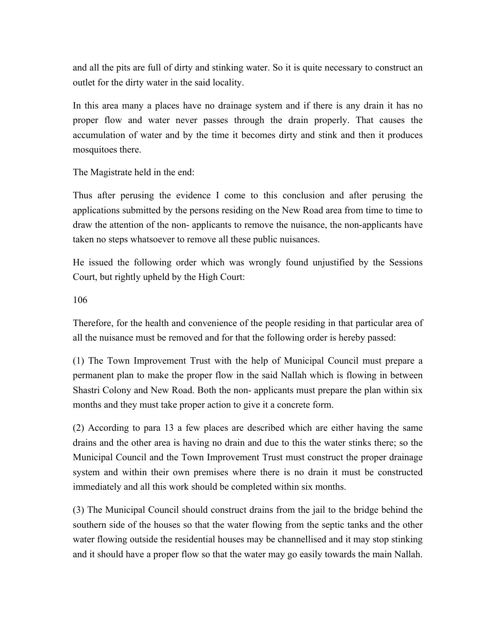and all the pits are full of dirty and stinking water. So it is quite necessary to construct an outlet for the dirty water in the said locality.

In this area many a places have no drainage system and if there is any drain it has no proper flow and water never passes through the drain properly. That causes the accumulation of water and by the time it becomes dirty and stink and then it produces mosquitoes there.

The Magistrate held in the end:

Thus after perusing the evidence I come to this conclusion and after perusing the applications submitted by the persons residing on the New Road area from time to time to draw the attention of the non- applicants to remove the nuisance, the non-applicants have taken no steps whatsoever to remove all these public nuisances.

He issued the following order which was wrongly found unjustified by the Sessions Court, but rightly upheld by the High Court:

106

Therefore, for the health and convenience of the people residing in that particular area of all the nuisance must be removed and for that the following order is hereby passed:

(1) The Town Improvement Trust with the help of Municipal Council must prepare a permanent plan to make the proper flow in the said Nallah which is flowing in between Shastri Colony and New Road. Both the non- applicants must prepare the plan within six months and they must take proper action to give it a concrete form.

(2) According to para 13 a few places are described which are either having the same drains and the other area is having no drain and due to this the water stinks there; so the Municipal Council and the Town Improvement Trust must construct the proper drainage system and within their own premises where there is no drain it must be constructed immediately and all this work should be completed within six months.

(3) The Municipal Council should construct drains from the jail to the bridge behind the southern side of the houses so that the water flowing from the septic tanks and the other water flowing outside the residential houses may be channellised and it may stop stinking and it should have a proper flow so that the water may go easily towards the main Nallah.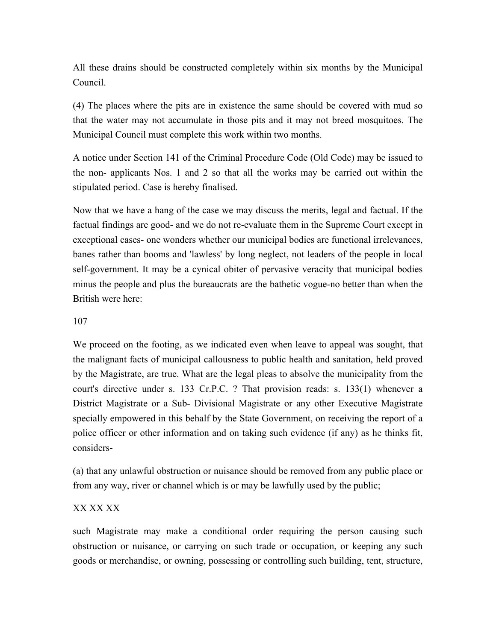All these drains should be constructed completely within six months by the Municipal Council.

(4) The places where the pits are in existence the same should be covered with mud so that the water may not accumulate in those pits and it may not breed mosquitoes. The Municipal Council must complete this work within two months.

A notice under Section 141 of the Criminal Procedure Code (Old Code) may be issued to the non- applicants Nos. 1 and 2 so that all the works may be carried out within the stipulated period. Case is hereby finalised.

Now that we have a hang of the case we may discuss the merits, legal and factual. If the factual findings are good- and we do not re-evaluate them in the Supreme Court except in exceptional cases- one wonders whether our municipal bodies are functional irrelevances, banes rather than booms and 'lawless' by long neglect, not leaders of the people in local self-government. It may be a cynical obiter of pervasive veracity that municipal bodies minus the people and plus the bureaucrats are the bathetic vogue-no better than when the British were here:

### 107

We proceed on the footing, as we indicated even when leave to appeal was sought, that the malignant facts of municipal callousness to public health and sanitation, held proved by the Magistrate, are true. What are the legal pleas to absolve the municipality from the court's directive under s. 133 Cr.P.C. ? That provision reads: s. 133(1) whenever a District Magistrate or a Sub- Divisional Magistrate or any other Executive Magistrate specially empowered in this behalf by the State Government, on receiving the report of a police officer or other information and on taking such evidence (if any) as he thinks fit, considers-

(a) that any unlawful obstruction or nuisance should be removed from any public place or from any way, river or channel which is or may be lawfully used by the public;

### XX XX XX

such Magistrate may make a conditional order requiring the person causing such obstruction or nuisance, or carrying on such trade or occupation, or keeping any such goods or merchandise, or owning, possessing or controlling such building, tent, structure,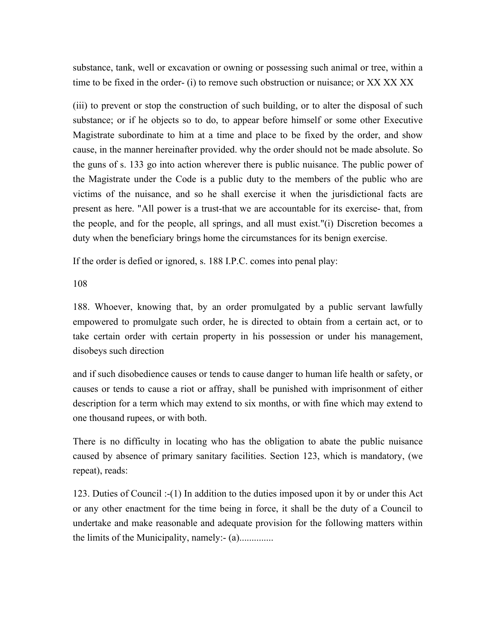substance, tank, well or excavation or owning or possessing such animal or tree, within a time to be fixed in the order- (i) to remove such obstruction or nuisance; or XX XX XX

(iii) to prevent or stop the construction of such building, or to alter the disposal of such substance; or if he objects so to do, to appear before himself or some other Executive Magistrate subordinate to him at a time and place to be fixed by the order, and show cause, in the manner hereinafter provided. why the order should not be made absolute. So the guns of s. 133 go into action wherever there is public nuisance. The public power of the Magistrate under the Code is a public duty to the members of the public who are victims of the nuisance, and so he shall exercise it when the jurisdictional facts are present as here. "All power is a trust-that we are accountable for its exercise- that, from the people, and for the people, all springs, and all must exist."(i) Discretion becomes a duty when the beneficiary brings home the circumstances for its benign exercise.

If the order is defied or ignored, s. 188 I.P.C. comes into penal play:

108

188. Whoever, knowing that, by an order promulgated by a public servant lawfully empowered to promulgate such order, he is directed to obtain from a certain act, or to take certain order with certain property in his possession or under his management, disobeys such direction

and if such disobedience causes or tends to cause danger to human life health or safety, or causes or tends to cause a riot or affray, shall be punished with imprisonment of either description for a term which may extend to six months, or with fine which may extend to one thousand rupees, or with both.

There is no difficulty in locating who has the obligation to abate the public nuisance caused by absence of primary sanitary facilities. Section 123, which is mandatory, (we repeat), reads:

123. Duties of Council :-(1) In addition to the duties imposed upon it by or under this Act or any other enactment for the time being in force, it shall be the duty of a Council to undertake and make reasonable and adequate provision for the following matters within the limits of the Municipality, namely:- (a)..............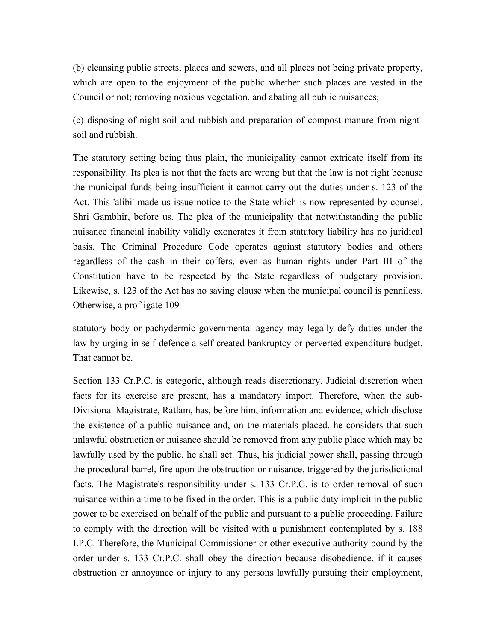(b) cleansing public streets, places and sewers, and all places not being private property, which are open to the enjoyment of the public whether such places are vested in the Council or not; removing noxious vegetation, and abating all public nuisances;

(c) disposing of night-soil and rubbish and preparation of compost manure from nightsoil and rubbish.

The statutory setting being thus plain, the municipality cannot extricate itself from its responsibility. Its plea is not that the facts are wrong but that the law is not right because the municipal funds being insufficient it cannot carry out the duties under s. 123 of the Act. This 'alibi' made us issue notice to the State which is now represented by counsel, Shri Gambhir, before us. The plea of the municipality that notwithstanding the public nuisance financial inability validly exonerates it from statutory liability has no juridical basis. The Criminal Procedure Code operates against statutory bodies and others regardless of the cash in their coffers, even as human rights under Part III of the Constitution have to be respected by the State regardless of budgetary provision. Likewise, s. 123 of the Act has no saving clause when the municipal council is penniless. Otherwise, a profligate 109

statutory body or pachydermic governmental agency may legally defy duties under the law by urging in self-defence a self-created bankruptcy or perverted expenditure budget. That cannot be.

Section 133 Cr.P.C. is categoric, although reads discretionary. Judicial discretion when facts for its exercise are present, has a mandatory import. Therefore, when the sub-Divisional Magistrate, Ratlam, has, before him, information and evidence, which disclose the existence of a public nuisance and, on the materials placed, he considers that such unlawful obstruction or nuisance should be removed from any public place which may be lawfully used by the public, he shall act. Thus, his judicial power shall, passing through the procedural barrel, fire upon the obstruction or nuisance, triggered by the jurisdictional facts. The Magistrate's responsibility under s. 133 Cr.P.C. is to order removal of such nuisance within a time to be fixed in the order. This is a public duty implicit in the public power to be exercised on behalf of the public and pursuant to a public proceeding. Failure to comply with the direction will be visited with a punishment contemplated by s. 188 I.P.C. Therefore, the Municipal Commissioner or other executive authority bound by the order under s. 133 Cr.P.C. shall obey the direction because disobedience, if it causes obstruction or annoyance or injury to any persons lawfully pursuing their employment,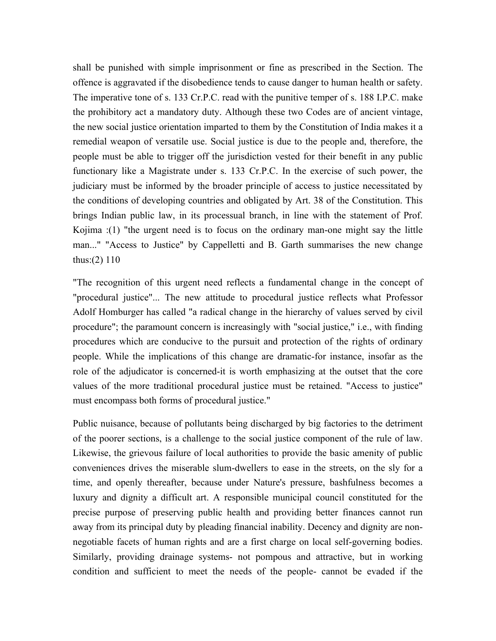shall be punished with simple imprisonment or fine as prescribed in the Section. The offence is aggravated if the disobedience tends to cause danger to human health or safety. The imperative tone of s. 133 Cr.P.C. read with the punitive temper of s. 188 I.P.C. make the prohibitory act a mandatory duty. Although these two Codes are of ancient vintage, the new social justice orientation imparted to them by the Constitution of India makes it a remedial weapon of versatile use. Social justice is due to the people and, therefore, the people must be able to trigger off the jurisdiction vested for their benefit in any public functionary like a Magistrate under s. 133 Cr.P.C. In the exercise of such power, the judiciary must be informed by the broader principle of access to justice necessitated by the conditions of developing countries and obligated by Art. 38 of the Constitution. This brings Indian public law, in its processual branch, in line with the statement of Prof. Kojima :(1) "the urgent need is to focus on the ordinary man-one might say the little man..." "Access to Justice" by Cappelletti and B. Garth summarises the new change thus: $(2)$  110

"The recognition of this urgent need reflects a fundamental change in the concept of "procedural justice"... The new attitude to procedural justice reflects what Professor Adolf Homburger has called "a radical change in the hierarchy of values served by civil procedure"; the paramount concern is increasingly with "social justice," i.e., with finding procedures which are conducive to the pursuit and protection of the rights of ordinary people. While the implications of this change are dramatic-for instance, insofar as the role of the adjudicator is concerned-it is worth emphasizing at the outset that the core values of the more traditional procedural justice must be retained. "Access to justice" must encompass both forms of procedural justice."

Public nuisance, because of pollutants being discharged by big factories to the detriment of the poorer sections, is a challenge to the social justice component of the rule of law. Likewise, the grievous failure of local authorities to provide the basic amenity of public conveniences drives the miserable slum-dwellers to ease in the streets, on the sly for a time, and openly thereafter, because under Nature's pressure, bashfulness becomes a luxury and dignity a difficult art. A responsible municipal council constituted for the precise purpose of preserving public health and providing better finances cannot run away from its principal duty by pleading financial inability. Decency and dignity are nonnegotiable facets of human rights and are a first charge on local self-governing bodies. Similarly, providing drainage systems- not pompous and attractive, but in working condition and sufficient to meet the needs of the people- cannot be evaded if the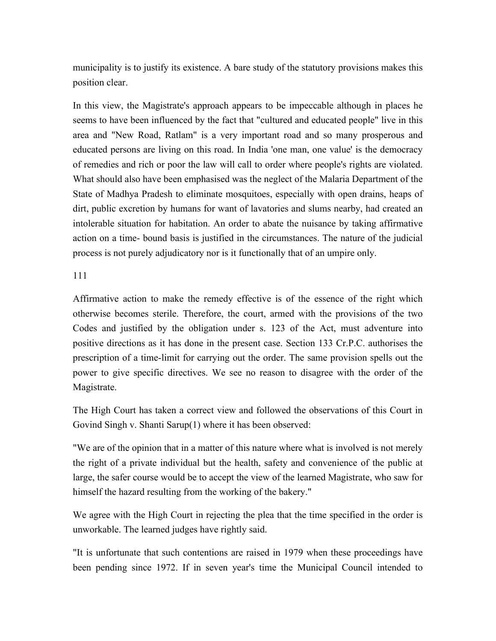municipality is to justify its existence. A bare study of the statutory provisions makes this position clear.

In this view, the Magistrate's approach appears to be impeccable although in places he seems to have been influenced by the fact that "cultured and educated people" live in this area and "New Road, Ratlam" is a very important road and so many prosperous and educated persons are living on this road. In India 'one man, one value' is the democracy of remedies and rich or poor the law will call to order where people's rights are violated. What should also have been emphasised was the neglect of the Malaria Department of the State of Madhya Pradesh to eliminate mosquitoes, especially with open drains, heaps of dirt, public excretion by humans for want of lavatories and slums nearby, had created an intolerable situation for habitation. An order to abate the nuisance by taking affirmative action on a time- bound basis is justified in the circumstances. The nature of the judicial process is not purely adjudicatory nor is it functionally that of an umpire only.

111

Affirmative action to make the remedy effective is of the essence of the right which otherwise becomes sterile. Therefore, the court, armed with the provisions of the two Codes and justified by the obligation under s. 123 of the Act, must adventure into positive directions as it has done in the present case. Section 133 Cr.P.C. authorises the prescription of a time-limit for carrying out the order. The same provision spells out the power to give specific directives. We see no reason to disagree with the order of the Magistrate.

The High Court has taken a correct view and followed the observations of this Court in Govind Singh v. Shanti Sarup(1) where it has been observed:

"We are of the opinion that in a matter of this nature where what is involved is not merely the right of a private individual but the health, safety and convenience of the public at large, the safer course would be to accept the view of the learned Magistrate, who saw for himself the hazard resulting from the working of the bakery."

We agree with the High Court in rejecting the plea that the time specified in the order is unworkable. The learned judges have rightly said.

"It is unfortunate that such contentions are raised in 1979 when these proceedings have been pending since 1972. If in seven year's time the Municipal Council intended to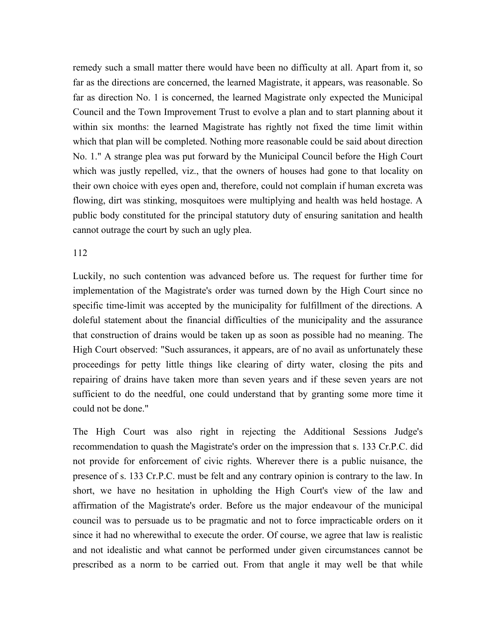remedy such a small matter there would have been no difficulty at all. Apart from it, so far as the directions are concerned, the learned Magistrate, it appears, was reasonable. So far as direction No. 1 is concerned, the learned Magistrate only expected the Municipal Council and the Town Improvement Trust to evolve a plan and to start planning about it within six months: the learned Magistrate has rightly not fixed the time limit within which that plan will be completed. Nothing more reasonable could be said about direction No. 1." A strange plea was put forward by the Municipal Council before the High Court which was justly repelled, viz., that the owners of houses had gone to that locality on their own choice with eyes open and, therefore, could not complain if human excreta was flowing, dirt was stinking, mosquitoes were multiplying and health was held hostage. A public body constituted for the principal statutory duty of ensuring sanitation and health cannot outrage the court by such an ugly plea.

#### 112

Luckily, no such contention was advanced before us. The request for further time for implementation of the Magistrate's order was turned down by the High Court since no specific time-limit was accepted by the municipality for fulfillment of the directions. A doleful statement about the financial difficulties of the municipality and the assurance that construction of drains would be taken up as soon as possible had no meaning. The High Court observed: "Such assurances, it appears, are of no avail as unfortunately these proceedings for petty little things like clearing of dirty water, closing the pits and repairing of drains have taken more than seven years and if these seven years are not sufficient to do the needful, one could understand that by granting some more time it could not be done."

The High Court was also right in rejecting the Additional Sessions Judge's recommendation to quash the Magistrate's order on the impression that s. 133 Cr.P.C. did not provide for enforcement of civic rights. Wherever there is a public nuisance, the presence of s. 133 Cr.P.C. must be felt and any contrary opinion is contrary to the law. In short, we have no hesitation in upholding the High Court's view of the law and affirmation of the Magistrate's order. Before us the major endeavour of the municipal council was to persuade us to be pragmatic and not to force impracticable orders on it since it had no wherewithal to execute the order. Of course, we agree that law is realistic and not idealistic and what cannot be performed under given circumstances cannot be prescribed as a norm to be carried out. From that angle it may well be that while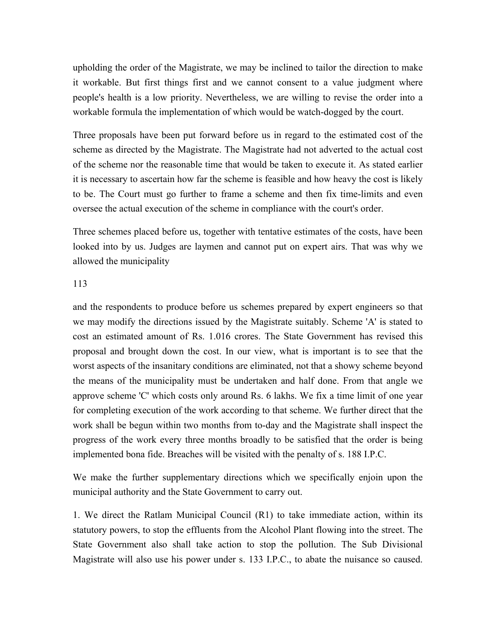upholding the order of the Magistrate, we may be inclined to tailor the direction to make it workable. But first things first and we cannot consent to a value judgment where people's health is a low priority. Nevertheless, we are willing to revise the order into a workable formula the implementation of which would be watch-dogged by the court.

Three proposals have been put forward before us in regard to the estimated cost of the scheme as directed by the Magistrate. The Magistrate had not adverted to the actual cost of the scheme nor the reasonable time that would be taken to execute it. As stated earlier it is necessary to ascertain how far the scheme is feasible and how heavy the cost is likely to be. The Court must go further to frame a scheme and then fix time-limits and even oversee the actual execution of the scheme in compliance with the court's order.

Three schemes placed before us, together with tentative estimates of the costs, have been looked into by us. Judges are laymen and cannot put on expert airs. That was why we allowed the municipality

#### 113

and the respondents to produce before us schemes prepared by expert engineers so that we may modify the directions issued by the Magistrate suitably. Scheme 'A' is stated to cost an estimated amount of Rs. 1.016 crores. The State Government has revised this proposal and brought down the cost. In our view, what is important is to see that the worst aspects of the insanitary conditions are eliminated, not that a showy scheme beyond the means of the municipality must be undertaken and half done. From that angle we approve scheme 'C' which costs only around Rs. 6 lakhs. We fix a time limit of one year for completing execution of the work according to that scheme. We further direct that the work shall be begun within two months from to-day and the Magistrate shall inspect the progress of the work every three months broadly to be satisfied that the order is being implemented bona fide. Breaches will be visited with the penalty of s. 188 I.P.C.

We make the further supplementary directions which we specifically enjoin upon the municipal authority and the State Government to carry out.

1. We direct the Ratlam Municipal Council (R1) to take immediate action, within its statutory powers, to stop the effluents from the Alcohol Plant flowing into the street. The State Government also shall take action to stop the pollution. The Sub Divisional Magistrate will also use his power under s. 133 I.P.C., to abate the nuisance so caused.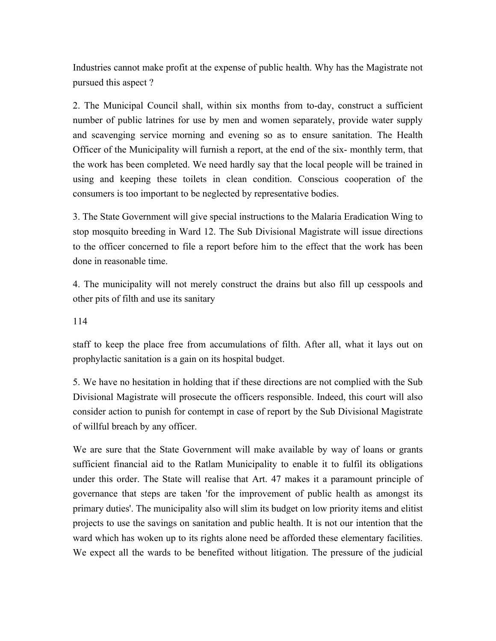Industries cannot make profit at the expense of public health. Why has the Magistrate not pursued this aspect ?

2. The Municipal Council shall, within six months from to-day, construct a sufficient number of public latrines for use by men and women separately, provide water supply and scavenging service morning and evening so as to ensure sanitation. The Health Officer of the Municipality will furnish a report, at the end of the six- monthly term, that the work has been completed. We need hardly say that the local people will be trained in using and keeping these toilets in clean condition. Conscious cooperation of the consumers is too important to be neglected by representative bodies.

3. The State Government will give special instructions to the Malaria Eradication Wing to stop mosquito breeding in Ward 12. The Sub Divisional Magistrate will issue directions to the officer concerned to file a report before him to the effect that the work has been done in reasonable time.

4. The municipality will not merely construct the drains but also fill up cesspools and other pits of filth and use its sanitary

114

staff to keep the place free from accumulations of filth. After all, what it lays out on prophylactic sanitation is a gain on its hospital budget.

5. We have no hesitation in holding that if these directions are not complied with the Sub Divisional Magistrate will prosecute the officers responsible. Indeed, this court will also consider action to punish for contempt in case of report by the Sub Divisional Magistrate of willful breach by any officer.

We are sure that the State Government will make available by way of loans or grants sufficient financial aid to the Ratlam Municipality to enable it to fulfil its obligations under this order. The State will realise that Art. 47 makes it a paramount principle of governance that steps are taken 'for the improvement of public health as amongst its primary duties'. The municipality also will slim its budget on low priority items and elitist projects to use the savings on sanitation and public health. It is not our intention that the ward which has woken up to its rights alone need be afforded these elementary facilities. We expect all the wards to be benefited without litigation. The pressure of the judicial